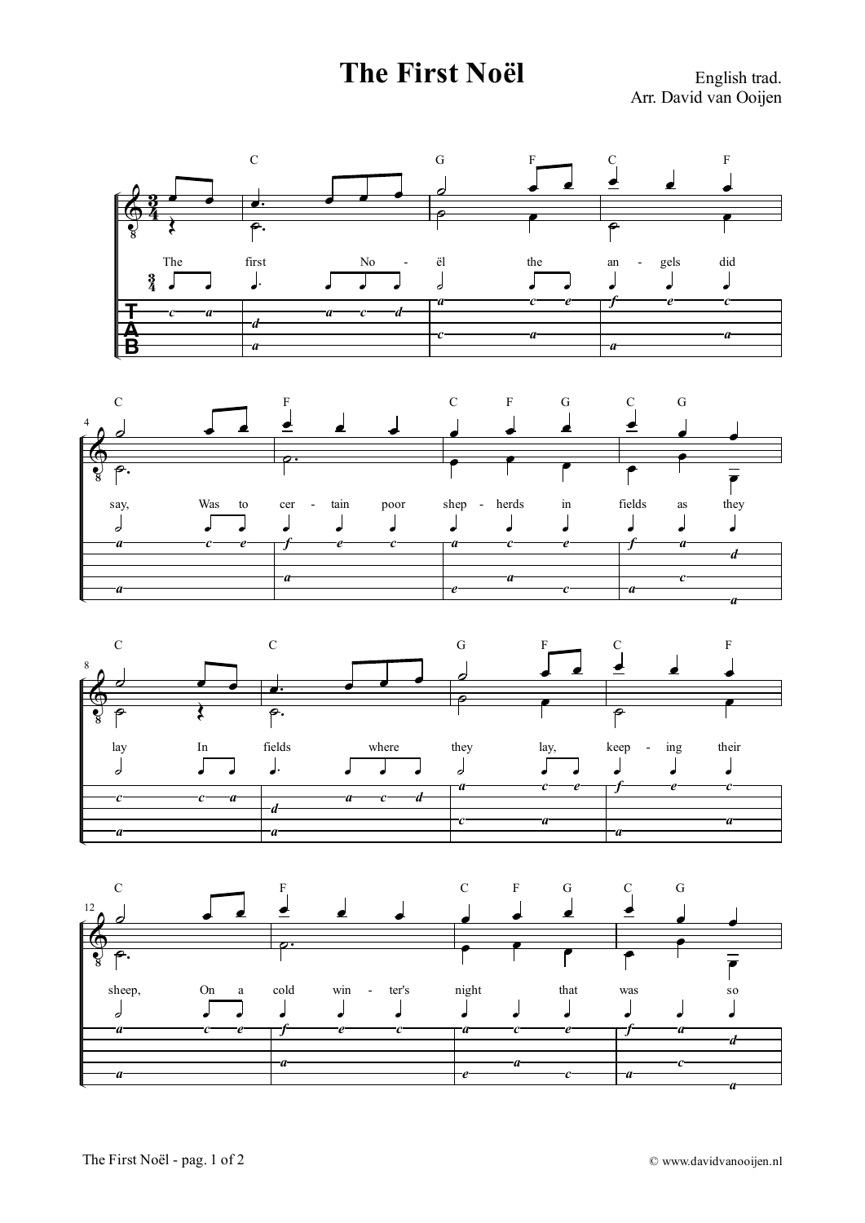## **The First Noël** English trad.

Arr. David van Ooijen